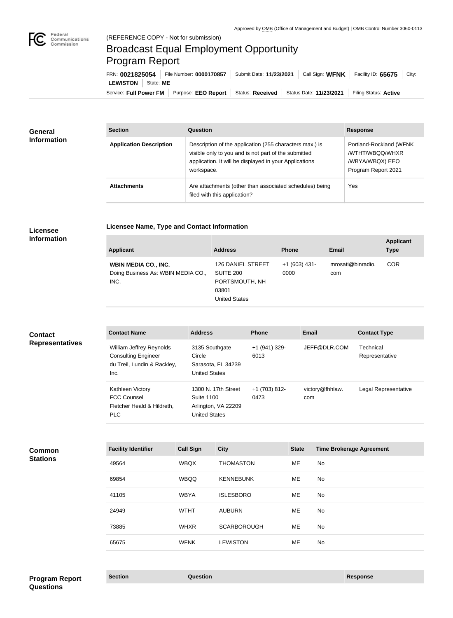

п

## Broadcast Equal Employment Opportunity Program Report

**Licensee Name, Type and Contact Information**

Service: Full Power FM Purpose: EEO Report | Status: Received | Status Date: 11/23/2021 | Filing Status: Active **LEWISTON** State: **ME** FRN: **0021825054** File Number: **0000170857** Submit Date: **11/23/2021** Call Sign: **WFNK** Facility ID: **65675** City:

| General<br><b>Information</b> | <b>Section</b>                 | <b>Question</b>                                                                                                                                                                         | <b>Response</b>                                                                      |
|-------------------------------|--------------------------------|-----------------------------------------------------------------------------------------------------------------------------------------------------------------------------------------|--------------------------------------------------------------------------------------|
|                               | <b>Application Description</b> | Description of the application (255 characters max.) is<br>visible only to you and is not part of the submitted<br>application. It will be displayed in your Applications<br>workspace. | Portland-Rockland (WFNK<br>/WTHT/WBQQ/WHXR<br>/WBYA/WBQX) EEO<br>Program Report 2021 |
|                               | <b>Attachments</b>             | Are attachments (other than associated schedules) being<br>filed with this application?                                                                                                 | Yes                                                                                  |

## **Licensee Information**

| <b>Applicant</b>                                                          | <b>Address</b>                                                                                  | <b>Phone</b>           | <b>Email</b>             | <b>Applicant</b><br><b>Type</b> |
|---------------------------------------------------------------------------|-------------------------------------------------------------------------------------------------|------------------------|--------------------------|---------------------------------|
| <b>WBIN MEDIA CO., INC.</b><br>Doing Business As: WBIN MEDIA CO.,<br>INC. | <b>126 DANIEL STREET</b><br><b>SUITE 200</b><br>PORTSMOUTH, NH<br>03801<br><b>United States</b> | $+1(603)$ 431-<br>0000 | mrosati@binradio.<br>com | <b>COR</b>                      |

| <b>Contact</b><br><b>Representatives</b> | <b>Contact Name</b>                                                                           | <b>Address</b>                                                                   | <b>Phone</b>          | <b>Email</b>           | <b>Contact Type</b>         |
|------------------------------------------|-----------------------------------------------------------------------------------------------|----------------------------------------------------------------------------------|-----------------------|------------------------|-----------------------------|
|                                          | William Jeffrey Reynolds<br><b>Consulting Engineer</b><br>du Treil, Lundin & Rackley,<br>Inc. | 3135 Southgate<br>Circle<br>Sarasota, FL 34239<br><b>United States</b>           | +1 (941) 329-<br>6013 | JEFF@DLR.COM           | Technical<br>Representative |
|                                          | Kathleen Victory<br><b>FCC Counsel</b><br>Fletcher Heald & Hildreth,<br><b>PLC</b>            | 1300 N. 17th Street<br>Suite 1100<br>Arlington, VA 22209<br><b>United States</b> | +1 (703) 812-<br>0473 | victory@fhhlaw.<br>com | Legal Representative        |

| Common          |  |
|-----------------|--|
| <b>Stations</b> |  |

| <b>Facility Identifier</b> | <b>Call Sign</b> | <b>City</b>        | <b>State</b> | <b>Time Brokerage Agreement</b> |
|----------------------------|------------------|--------------------|--------------|---------------------------------|
| 49564                      | <b>WBQX</b>      | <b>THOMASTON</b>   | ME           | No                              |
| 69854                      | <b>WBQQ</b>      | <b>KENNEBUNK</b>   | ME.          | No.                             |
| 41105                      | <b>WBYA</b>      | <b>ISLESBORO</b>   | <b>ME</b>    | No                              |
| 24949                      | <b>WTHT</b>      | <b>AUBURN</b>      | ME           | No                              |
| 73885                      | <b>WHXR</b>      | <b>SCARBOROUGH</b> | ME           | No.                             |
| 65675                      | <b>WFNK</b>      | <b>LEWISTON</b>    | ME           | No.                             |